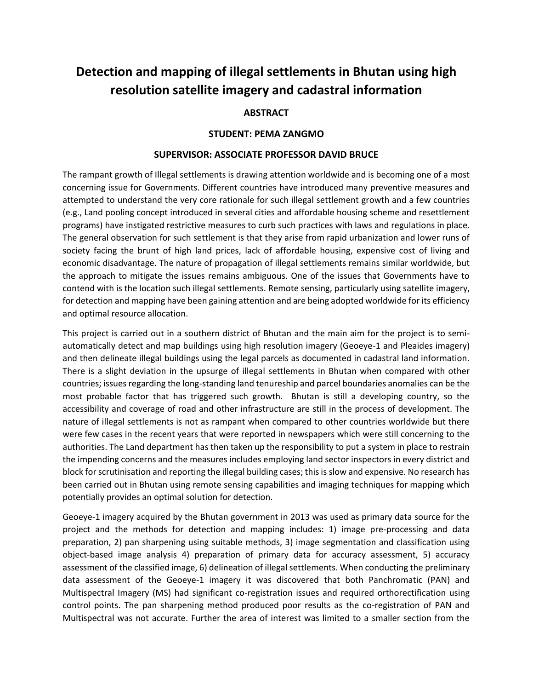## **Detection and mapping of illegal settlements in Bhutan using high resolution satellite imagery and cadastral information**

## **ABSTRACT**

## **STUDENT: PEMA ZANGMO**

## **SUPERVISOR: ASSOCIATE PROFESSOR DAVID BRUCE**

The rampant growth of Illegal settlements is drawing attention worldwide and is becoming one of a most concerning issue for Governments. Different countries have introduced many preventive measures and attempted to understand the very core rationale for such illegal settlement growth and a few countries (e.g., Land pooling concept introduced in several cities and affordable housing scheme and resettlement programs) have instigated restrictive measures to curb such practices with laws and regulations in place. The general observation for such settlement is that they arise from rapid urbanization and lower runs of society facing the brunt of high land prices, lack of affordable housing, expensive cost of living and economic disadvantage. The nature of propagation of illegal settlements remains similar worldwide, but the approach to mitigate the issues remains ambiguous. One of the issues that Governments have to contend with is the location such illegal settlements. Remote sensing, particularly using satellite imagery, for detection and mapping have been gaining attention and are being adopted worldwide for its efficiency and optimal resource allocation.

This project is carried out in a southern district of Bhutan and the main aim for the project is to semiautomatically detect and map buildings using high resolution imagery (Geoeye-1 and Pleaides imagery) and then delineate illegal buildings using the legal parcels as documented in cadastral land information. There is a slight deviation in the upsurge of illegal settlements in Bhutan when compared with other countries; issues regarding the long-standing land tenureship and parcel boundaries anomalies can be the most probable factor that has triggered such growth. Bhutan is still a developing country, so the accessibility and coverage of road and other infrastructure are still in the process of development. The nature of illegal settlements is not as rampant when compared to other countries worldwide but there were few cases in the recent years that were reported in newspapers which were still concerning to the authorities. The Land department has then taken up the responsibility to put a system in place to restrain the impending concerns and the measures includes employing land sector inspectors in every district and block for scrutinisation and reporting the illegal building cases; this is slow and expensive. No research has been carried out in Bhutan using remote sensing capabilities and imaging techniques for mapping which potentially provides an optimal solution for detection.

Geoeye-1 imagery acquired by the Bhutan government in 2013 was used as primary data source for the project and the methods for detection and mapping includes: 1) image pre-processing and data preparation, 2) pan sharpening using suitable methods, 3) image segmentation and classification using object-based image analysis 4) preparation of primary data for accuracy assessment, 5) accuracy assessment of the classified image, 6) delineation of illegal settlements. When conducting the preliminary data assessment of the Geoeye-1 imagery it was discovered that both Panchromatic (PAN) and Multispectral Imagery (MS) had significant co-registration issues and required orthorectification using control points. The pan sharpening method produced poor results as the co-registration of PAN and Multispectral was not accurate. Further the area of interest was limited to a smaller section from the